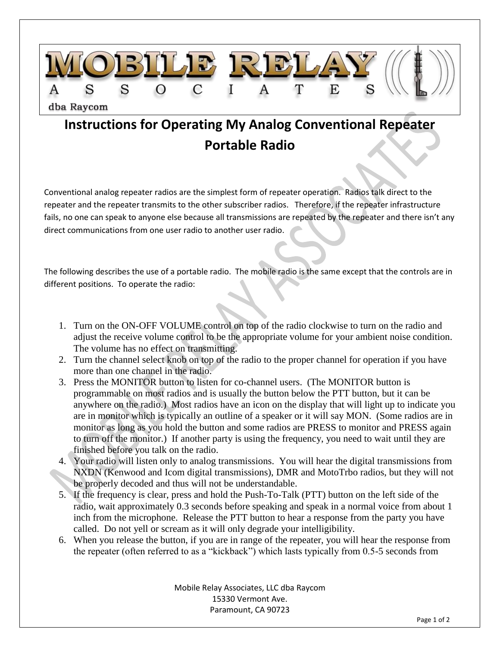

## **Instructions for Operating My Analog Conventional Repeater Portable Radio**

Conventional analog repeater radios are the simplest form of repeater operation. Radios talk direct to the repeater and the repeater transmits to the other subscriber radios. Therefore, if the repeater infrastructure fails, no one can speak to anyone else because all transmissions are repeated by the repeater and there isn't any direct communications from one user radio to another user radio.

The following describes the use of a portable radio. The mobile radio is the same except that the controls are in different positions. To operate the radio:

- 1. Turn on the ON-OFF VOLUME control on top of the radio clockwise to turn on the radio and adjust the receive volume control to be the appropriate volume for your ambient noise condition. The volume has no effect on transmitting.
- 2. Turn the channel select knob on top of the radio to the proper channel for operation if you have more than one channel in the radio.
- 3. Press the MONITOR button to listen for co-channel users. (The MONITOR button is programmable on most radios and is usually the button below the PTT button, but it can be anywhere on the radio.) Most radios have an icon on the display that will light up to indicate you are in monitor which is typically an outline of a speaker or it will say MON. (Some radios are in monitor as long as you hold the button and some radios are PRESS to monitor and PRESS again to turn off the monitor.) If another party is using the frequency, you need to wait until they are finished before you talk on the radio.
- 4. Your radio will listen only to analog transmissions. You will hear the digital transmissions from NXDN (Kenwood and Icom digital transmissions), DMR and MotoTrbo radios, but they will not be properly decoded and thus will not be understandable.
- 5. If the frequency is clear, press and hold the Push-To-Talk (PTT) button on the left side of the radio, wait approximately 0.3 seconds before speaking and speak in a normal voice from about 1 inch from the microphone. Release the PTT button to hear a response from the party you have called. Do not yell or scream as it will only degrade your intelligibility.
- 6. When you release the button, if you are in range of the repeater, you will hear the response from the repeater (often referred to as a "kickback") which lasts typically from 0.5-5 seconds from

Mobile Relay Associates, LLC dba Raycom 15330 Vermont Ave. Paramount, CA 90723